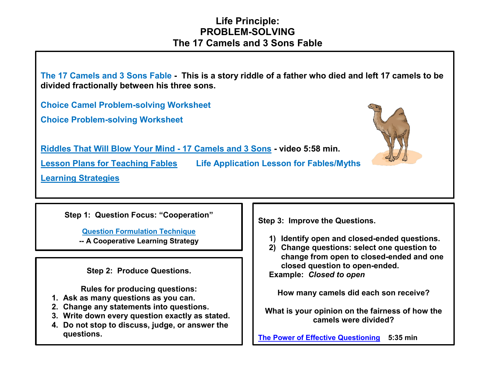## **Life Principle: PROBLEM-SOLVING The 17 Camels and 3 Sons Fable**



**Step 1: Question Focus: "Cooperation"**

**[Question Formulation](http://www.greatexpectations.org/the-question-formulation-technique) Technique -- A Cooperative Learning Strategy**

**Step 2: Produce Questions.**

**Rules for producing questions:**

- **1. Ask as many questions as you can.**
- **2. Change any statements into questions.**
- **3. Write down every question exactly as stated.**
- **4. Do not stop to discuss, judge, or answer the questions.**

**Step 3: Improve the Questions.**

- **1) Identify open and closed-ended questions.**
- **2) Change questions: select one question to change from open to closed-ended and one closed question to open-ended.**

**Example:** *Closed to open*

**How many camels did each son receive?**

**What is your opinion on the fairness of how the camels were divided?**

**[The Power of Effective Questioning](https://www.youtube.com/watch?v=1dO0dO__wmE) 5:35 min**